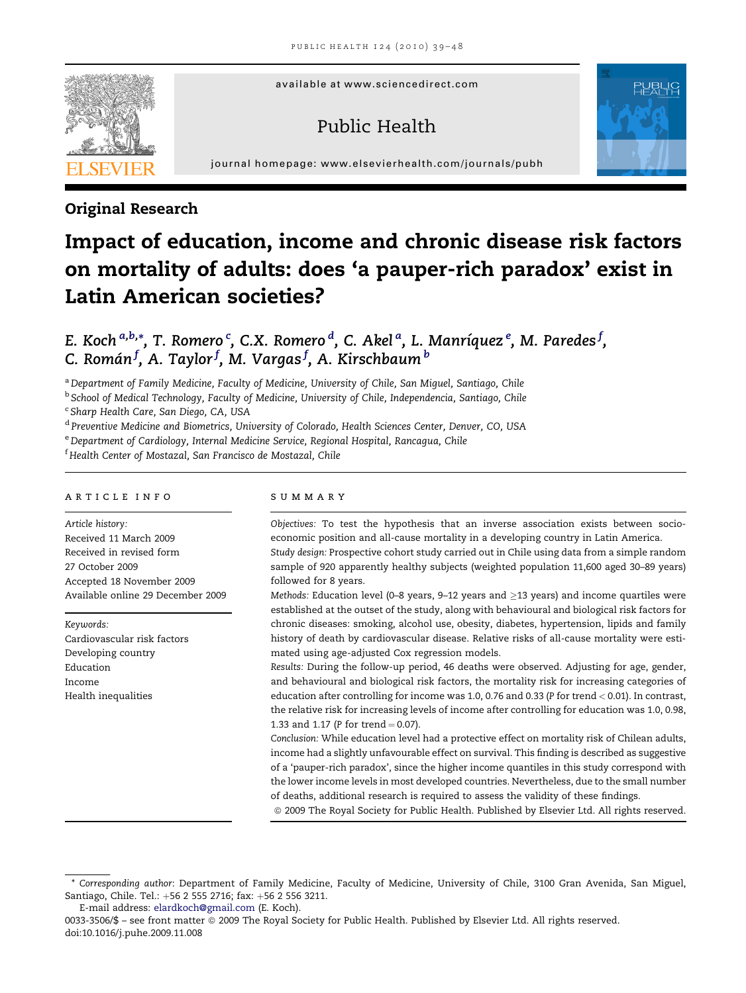available at www.sciencedirect.com

# Public Health



journal homepage: [www.elsevierhealth.com/journals/pubh](http://www.elsevierhealth.com/journals/pubh)

## Original Research

# Impact of education, income and chronic disease risk factors on mortality of adults: does 'a pauper-rich paradox' exist in Latin American societies?

E. Koch <sup>a,b,</sup>\*, T. Romero  $\lq$ , C.X. Romero  $\lq$ , C. Akel  $\lq$ , L. Manríquez  $\lq$ , M. Paredes  $\lq$ , C. Román $^f$ , A. Taylor $^f$ , M. Vargas $^f$ , A. Kirschbaum $^b$ 

a Department of Family Medicine, Faculty of Medicine, University of Chile, San Miguel, Santiago, Chile

<sup>b</sup> School of Medical Technology, Faculty of Medicine, University of Chile, Independencia, Santiago, Chile

<sup>c</sup> Sharp Health Care, San Diego, CA, USA

<sup>d</sup> Preventive Medicine and Biometrics, University of Colorado, Health Sciences Center, Denver, CO, USA

e Department of Cardiology, Internal Medicine Service, Regional Hospital, Rancagua, Chile

f Health Center of Mostazal, San Francisco de Mostazal, Chile

#### article info

Article history: Received 11 March 2009 Received in revised form 27 October 2009 Accepted 18 November 2009 Available online 29 December 2009

Keywords: Cardiovascular risk factors Developing country Education Income Health inequalities

## summary

Objectives: To test the hypothesis that an inverse association exists between socioeconomic position and all-cause mortality in a developing country in Latin America.

Study design: Prospective cohort study carried out in Chile using data from a simple random sample of 920 apparently healthy subjects (weighted population 11,600 aged 30–89 years) followed for 8 years.

Methods: Education level (0–8 years, 9–12 years and  $\geq$ 13 years) and income quartiles were established at the outset of the study, along with behavioural and biological risk factors for chronic diseases: smoking, alcohol use, obesity, diabetes, hypertension, lipids and family history of death by cardiovascular disease. Relative risks of all-cause mortality were estimated using age-adjusted Cox regression models.

Results: During the follow-up period, 46 deaths were observed. Adjusting for age, gender, and behavioural and biological risk factors, the mortality risk for increasing categories of education after controlling for income was 1.0, 0.76 and 0.33 (P for trend < 0.01). In contrast, the relative risk for increasing levels of income after controlling for education was 1.0, 0.98, 1.33 and 1.17 (P for trend  $= 0.07$ ).

Conclusion: While education level had a protective effect on mortality risk of Chilean adults, income had a slightly unfavourable effect on survival. This finding is described as suggestive of a 'pauper-rich paradox', since the higher income quantiles in this study correspond with the lower income levels in most developed countries. Nevertheless, due to the small number of deaths, additional research is required to assess the validity of these findings.

ª 2009 The Royal Society for Public Health. Published by Elsevier Ltd. All rights reserved.

<sup>\*</sup> Corresponding author: Department of Family Medicine, Faculty of Medicine, University of Chile, 3100 Gran Avenida, San Miguel, Santiago, Chile. Tel.: +56 2 555 2716; fax: +56 2 556 3211.

E-mail address: [elardkoch@gmail.com](mailto:elardkoch@gmail.com) (E. Koch).

<sup>0033-3506/\$ -</sup> see front matter © 2009 The Royal Society for Public Health. Published by Elsevier Ltd. All rights reserved. doi:10.1016/j.puhe.2009.11.008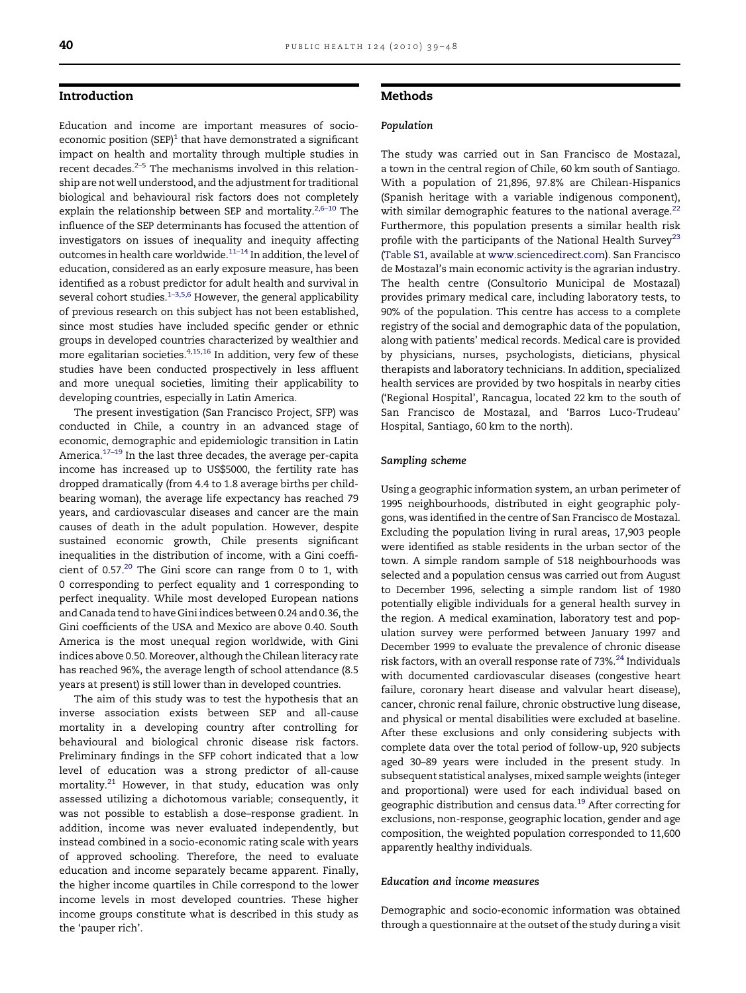#### Introduction

Education and income are important measures of socioeconomic position  $(SEP)^1$  $(SEP)^1$  that have demonstrated a significant impact on health and mortality through multiple studies in recent decades. $2-5$  The mechanisms involved in this relationship are not well understood, and the adjustment for traditional biological and behavioural risk factors does not completely explain the relationship between SEP and mortality.<sup>2,6-10</sup> The influence of the SEP determinants has focused the attention of investigators on issues of inequality and inequity affecting outcomes in health care worldwide[.11–14](#page-8-0) In addition, the level of education, considered as an early exposure measure, has been identified as a robust predictor for adult health and survival in several cohort studies.<sup>[1–3,5,6](#page-8-0)</sup> However, the general applicability of previous research on this subject has not been established, since most studies have included specific gender or ethnic groups in developed countries characterized by wealthier and more egalitarian societies. $4,15,16$  In addition, very few of these studies have been conducted prospectively in less affluent and more unequal societies, limiting their applicability to developing countries, especially in Latin America.

The present investigation (San Francisco Project, SFP) was conducted in Chile, a country in an advanced stage of economic, demographic and epidemiologic transition in Latin America.<sup>17-19</sup> In the last three decades, the average per-capita income has increased up to US\$5000, the fertility rate has dropped dramatically (from 4.4 to 1.8 average births per childbearing woman), the average life expectancy has reached 79 years, and cardiovascular diseases and cancer are the main causes of death in the adult population. However, despite sustained economic growth, Chile presents significant inequalities in the distribution of income, with a Gini coefficient of 0.57.<sup>20</sup> The Gini score can range from 0 to 1, with 0 corresponding to perfect equality and 1 corresponding to perfect inequality. While most developed European nations and Canada tend to have Gini indices between 0.24 and 0.36, the Gini coefficients of the USA and Mexico are above 0.40. South America is the most unequal region worldwide, with Gini indices above 0.50. Moreover, although the Chilean literacy rate has reached 96%, the average length of school attendance (8.5 years at present) is still lower than in developed countries.

The aim of this study was to test the hypothesis that an inverse association exists between SEP and all-cause mortality in a developing country after controlling for behavioural and biological chronic disease risk factors. Preliminary findings in the SFP cohort indicated that a low level of education was a strong predictor of all-cause mortality.[21](#page-8-0) However, in that study, education was only assessed utilizing a dichotomous variable; consequently, it was not possible to establish a dose–response gradient. In addition, income was never evaluated independently, but instead combined in a socio-economic rating scale with years of approved schooling. Therefore, the need to evaluate education and income separately became apparent. Finally, the higher income quartiles in Chile correspond to the lower income levels in most developed countries. These higher income groups constitute what is described in this study as the 'pauper rich'.

#### Methods

#### Population

The study was carried out in San Francisco de Mostazal, a town in the central region of Chile, 60 km south of Santiago. With a population of 21,896, 97.8% are Chilean-Hispanics (Spanish heritage with a variable indigenous component), with similar demographic features to the national average. $22$ Furthermore, this population presents a similar health risk profile with the participants of the National Health Survey<sup>[23](#page-8-0)</sup> ([Table S1](#page-8-0), available at [www.sciencedirect.com](http://www.sciencedirect.com)). San Francisco de Mostazal's main economic activity is the agrarian industry. The health centre (Consultorio Municipal de Mostazal) provides primary medical care, including laboratory tests, to 90% of the population. This centre has access to a complete registry of the social and demographic data of the population, along with patients' medical records. Medical care is provided by physicians, nurses, psychologists, dieticians, physical therapists and laboratory technicians. In addition, specialized health services are provided by two hospitals in nearby cities ('Regional Hospital', Rancagua, located 22 km to the south of San Francisco de Mostazal, and 'Barros Luco-Trudeau' Hospital, Santiago, 60 km to the north).

#### Sampling scheme

Using a geographic information system, an urban perimeter of 1995 neighbourhoods, distributed in eight geographic polygons, was identified in the centre of San Francisco de Mostazal. Excluding the population living in rural areas, 17,903 people were identified as stable residents in the urban sector of the town. A simple random sample of 518 neighbourhoods was selected and a population census was carried out from August to December 1996, selecting a simple random list of 1980 potentially eligible individuals for a general health survey in the region. A medical examination, laboratory test and population survey were performed between January 1997 and December 1999 to evaluate the prevalence of chronic disease risk factors, with an overall response rate of 73%.<sup>[24](#page-8-0)</sup> Individuals with documented cardiovascular diseases (congestive heart failure, coronary heart disease and valvular heart disease), cancer, chronic renal failure, chronic obstructive lung disease, and physical or mental disabilities were excluded at baseline. After these exclusions and only considering subjects with complete data over the total period of follow-up, 920 subjects aged 30–89 years were included in the present study. In subsequent statistical analyses, mixed sample weights (integer and proportional) were used for each individual based on geographic distribution and census data[.19](#page-8-0) After correcting for exclusions, non-response, geographic location, gender and age composition, the weighted population corresponded to 11,600 apparently healthy individuals.

#### Education and income measures

Demographic and socio-economic information was obtained through a questionnaire at the outset of the study during a visit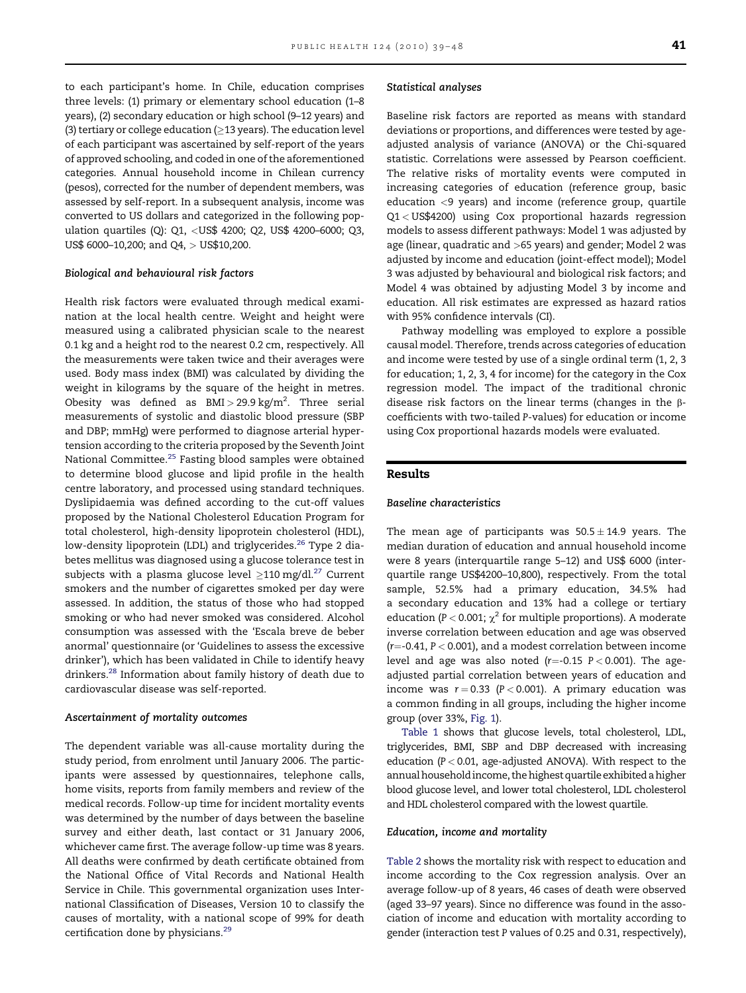to each participant's home. In Chile, education comprises three levels: (1) primary or elementary school education (1–8 years), (2) secondary education or high school (9–12 years) and (3) tertiary or college education ( $\geq$ 13 years). The education level of each participant was ascertained by self-report of the years of approved schooling, and coded in one of the aforementioned categories. Annual household income in Chilean currency (pesos), corrected for the number of dependent members, was assessed by self-report. In a subsequent analysis, income was converted to US dollars and categorized in the following population quartiles (Q): Q1, <US\$ 4200; Q2, US\$ 4200–6000; Q3, US\$ 6000–10,200; and Q4, > US\$10,200.

#### Biological and behavioural risk factors

Health risk factors were evaluated through medical examination at the local health centre. Weight and height were measured using a calibrated physician scale to the nearest 0.1 kg and a height rod to the nearest 0.2 cm, respectively. All the measurements were taken twice and their averages were used. Body mass index (BMI) was calculated by dividing the weight in kilograms by the square of the height in metres. Obesity was defined as BMI $>$ 29.9kg/m<sup>2</sup>. Three serial measurements of systolic and diastolic blood pressure (SBP and DBP; mmHg) were performed to diagnose arterial hypertension according to the criteria proposed by the Seventh Joint National Committee.<sup>25</sup> Fasting blood samples were obtained to determine blood glucose and lipid profile in the health centre laboratory, and processed using standard techniques. Dyslipidaemia was defined according to the cut-off values proposed by the National Cholesterol Education Program for total cholesterol, high-density lipoprotein cholesterol (HDL), low-density lipoprotein (LDL) and triglycerides.<sup>26</sup> Type 2 diabetes mellitus was diagnosed using a glucose tolerance test in subjects with a plasma glucose level  $\geq$ 110 mg/dl. $^{27}$  $^{27}$  $^{27}$  Current smokers and the number of cigarettes smoked per day were assessed. In addition, the status of those who had stopped smoking or who had never smoked was considered. Alcohol consumption was assessed with the 'Escala breve de beber anormal' questionnaire (or 'Guidelines to assess the excessive drinker'), which has been validated in Chile to identify heavy drinkers.[28](#page-8-0) Information about family history of death due to cardiovascular disease was self-reported.

#### Ascertainment of mortality outcomes

The dependent variable was all-cause mortality during the study period, from enrolment until January 2006. The participants were assessed by questionnaires, telephone calls, home visits, reports from family members and review of the medical records. Follow-up time for incident mortality events was determined by the number of days between the baseline survey and either death, last contact or 31 January 2006, whichever came first. The average follow-up time was 8 years. All deaths were confirmed by death certificate obtained from the National Office of Vital Records and National Health Service in Chile. This governmental organization uses International Classification of Diseases, Version 10 to classify the causes of mortality, with a national scope of 99% for death certification done by physicians.<sup>[29](#page-9-0)</sup>

#### Statistical analyses

Baseline risk factors are reported as means with standard deviations or proportions, and differences were tested by ageadjusted analysis of variance (ANOVA) or the Chi-squared statistic. Correlations were assessed by Pearson coefficient. The relative risks of mortality events were computed in increasing categories of education (reference group, basic education <9 years) and income (reference group, quartile Q1 < US\$4200) using Cox proportional hazards regression models to assess different pathways: Model 1 was adjusted by age (linear, quadratic and >65 years) and gender; Model 2 was adjusted by income and education (joint-effect model); Model 3 was adjusted by behavioural and biological risk factors; and Model 4 was obtained by adjusting Model 3 by income and education. All risk estimates are expressed as hazard ratios with 95% confidence intervals (CI).

Pathway modelling was employed to explore a possible causal model. Therefore, trends across categories of education and income were tested by use of a single ordinal term (1, 2, 3 for education; 1, 2, 3, 4 for income) for the category in the Cox regression model. The impact of the traditional chronic disease risk factors on the linear terms (changes in the  $\beta$ coefficients with two-tailed P-values) for education or income using Cox proportional hazards models were evaluated.

#### Results

#### Baseline characteristics

The mean age of participants was  $50.5 \pm 14.9$  years. The median duration of education and annual household income were 8 years (interquartile range 5–12) and US\$ 6000 (interquartile range US\$4200–10,800), respectively. From the total sample, 52.5% had a primary education, 34.5% had a secondary education and 13% had a college or tertiary education (P < 0.001;  $\chi^2$  for multiple proportions). A moderate inverse correlation between education and age was observed  $(r=-0.41, P< 0.001)$ , and a modest correlation between income level and age was also noted  $(r=-0.15 \text{ P} < 0.001)$ . The ageadjusted partial correlation between years of education and income was  $r = 0.33$  ( $P < 0.001$ ). A primary education was a common finding in all groups, including the higher income group (over 33%, [Fig. 1](#page-3-0)).

[Table 1](#page-3-0) shows that glucose levels, total cholesterol, LDL, triglycerides, BMI, SBP and DBP decreased with increasing education (P < 0.01, age-adjusted ANOVA). With respect to the annual household income, the highest quartile exhibited a higher blood glucose level, and lower total cholesterol, LDL cholesterol and HDL cholesterol compared with the lowest quartile.

#### Education, income and mortality

[Table 2](#page-4-0) shows the mortality risk with respect to education and income according to the Cox regression analysis. Over an average follow-up of 8 years, 46 cases of death were observed (aged 33–97 years). Since no difference was found in the association of income and education with mortality according to gender (interaction test P values of 0.25 and 0.31, respectively),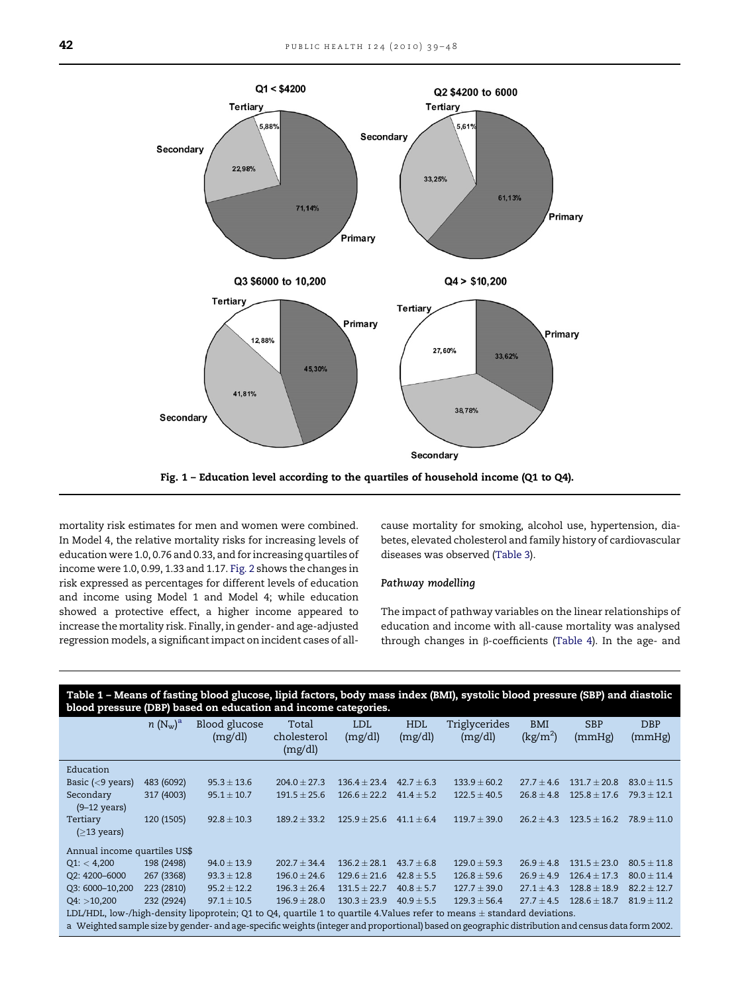<span id="page-3-0"></span>

mortality risk estimates for men and women were combined. In Model 4, the relative mortality risks for increasing levels of education were 1.0, 0.76 and 0.33, and for increasing quartiles of income were 1.0, 0.99, 1.33 and 1.17. [Fig. 2](#page-5-0) shows the changes in risk expressed as percentages for different levels of education and income using Model 1 and Model 4; while education showed a protective effect, a higher income appeared to increase the mortality risk. Finally, in gender- and age-adjusted regression models, a significant impact on incident cases of allcause mortality for smoking, alcohol use, hypertension, diabetes, elevated cholesterol and family history of cardiovascular diseases was observed ([Table 3](#page-6-0)).

#### Pathway modelling

The impact of pathway variables on the linear relationships of education and income with all-cause mortality was analysed through changes in  $\beta$ -coefficients ([Table 4\)](#page-6-0). In the age- and

| Table 1 - Means of fasting blood glucose, lipid factors, body mass index (BMI), systolic blood pressure (SBP) and diastolic<br>blood pressure (DBP) based on education and income categories. |                        |                          |                                 |                       |                       |                          |                               |                      |                      |
|-----------------------------------------------------------------------------------------------------------------------------------------------------------------------------------------------|------------------------|--------------------------|---------------------------------|-----------------------|-----------------------|--------------------------|-------------------------------|----------------------|----------------------|
|                                                                                                                                                                                               | $n(N_{\rm w})^{\rm a}$ | Blood glucose<br>(mg/dl) | Total<br>cholesterol<br>(mg/dl) | <b>LDL</b><br>(mg/dl) | <b>HDL</b><br>(mg/dl) | Triglycerides<br>(mg/dl) | <b>BMI</b><br>$\text{kg/m}^2$ | <b>SBP</b><br>(mmHg) | <b>DBP</b><br>(mmHg) |
| Education                                                                                                                                                                                     |                        |                          |                                 |                       |                       |                          |                               |                      |                      |
| Basic $(< 9$ years)                                                                                                                                                                           | 483 (6092)             | $95.3 \pm 13.6$          | $204.0 \pm 27.3$                | $136.4 \pm 23.4$      | $42.7 + 6.3$          | $133.9 \pm 60.2$         | $27.7 \pm 4.6$                | $131.7 \pm 20.8$     | $83.0 \pm 11.5$      |
| Secondary<br>$(9-12 \text{ years})$                                                                                                                                                           | 317 (4003)             | $95.1 \pm 10.7$          | $191.5 \pm 25.6$                | $126.6 \pm 22.2$      | $41.4 \pm 5.2$        | $122.5 \pm 40.5$         | $26.8 \pm 4.8$                | $125.8 \pm 17.6$     | $79.3 \pm 12.1$      |
| Tertiary<br>$(≥13 \text{ years})$                                                                                                                                                             | 120 (1505)             | $92.8 \pm 10.3$          | $189.2 + 33.2$                  | $125.9 + 25.6$        | $41.1 + 6.4$          | $119.7 + 39.0$           | $26.2 + 4.3$                  | $123.5 + 16.2$       | $78.9 + 11.0$        |
| Annual income quartiles US\$                                                                                                                                                                  |                        |                          |                                 |                       |                       |                          |                               |                      |                      |
| Q1: < 4,200                                                                                                                                                                                   | 198 (2498)             | $94.0 \pm 13.9$          | $202.7 \pm 34.4$                | $136.2 \pm 28.1$      | $43.7 + 6.8$          | $129.0 + 59.3$           | $26.9 \pm 4.8$                | $131.5 \pm 23.0$     | $80.5 + 11.8$        |
| Q2: 4200-6000                                                                                                                                                                                 | 267 (3368)             | $93.3 \pm 12.8$          | $196.0 \pm 24.6$                | $129.6 \pm 21.6$      | $42.8 + 5.5$          | $126.8 \pm 59.6$         | $26.9 \pm 4.9$                | $126.4 + 17.3$       | $80.0 + 11.4$        |
| Q3: 6000-10,200                                                                                                                                                                               | 223 (2810)             | $95.2 \pm 12.2$          | $196.3 \pm 26.4$                | $131.5 \pm 22.7$      | $40.8 + 5.7$          | $127.7 \pm 39.0$         | $27.1 \pm 4.3$                | $128.8 \pm 18.9$     | $82.2 + 12.7$        |
| Q4: >10,200                                                                                                                                                                                   | 232 (2924)             | $97.1 \pm 10.5$          | $196.9 \pm 28.0$                | $130.3 + 23.9$        | $40.9 \pm 5.5$        | $129.3 \pm 56.4$         | $27.7 \pm 4.5$                | $128.6 \pm 18.7$     | $81.9 \pm 11.2$      |
| LDL/HDL, low-/high-density lipoprotein; Q1 to Q4, quartile 1 to quartile 4. Values refer to means $\pm$ standard deviations.                                                                  |                        |                          |                                 |                       |                       |                          |                               |                      |                      |

a Weighted sample size by gender- and age-specific weights (integer and proportional) based on geographic distribution and census data form 2002.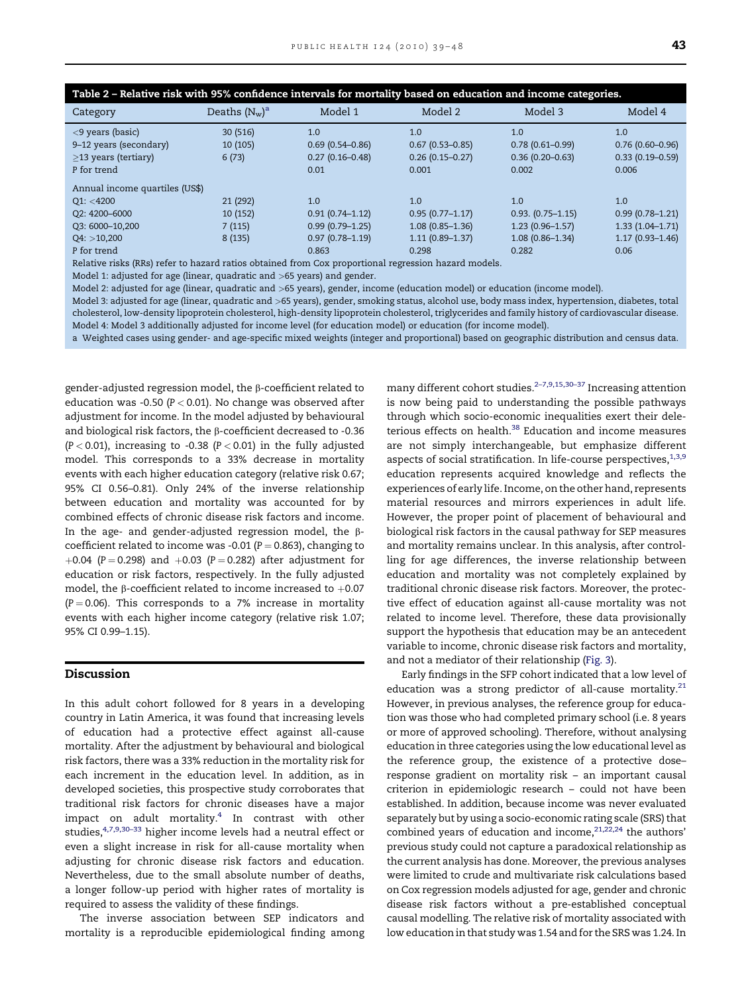<span id="page-4-0"></span>

| Table 2 - Relative risk with 95% confidence intervals for mortality based on education and income categories. |                  |                     |                     |                       |                     |  |
|---------------------------------------------------------------------------------------------------------------|------------------|---------------------|---------------------|-----------------------|---------------------|--|
| Category                                                                                                      | Deaths $(N_w)^a$ | Model 1             | Model 2             | Model 3               | Model 4             |  |
| $\langle 9 \rangle$ years (basic)                                                                             | 30 (516)         | 1.0                 | 1.0                 | 1.0                   | 1.0                 |  |
| 9–12 years (secondary)                                                                                        | 10(105)          | $0.69(0.54 - 0.86)$ | $0.67(0.53 - 0.85)$ | $0.78(0.61 - 0.99)$   | $0.76(0.60 - 0.96)$ |  |
| $\geq$ 13 years (tertiary)                                                                                    | 6(73)            | $0.27(0.16 - 0.48)$ | $0.26(0.15 - 0.27)$ | $0.36(0.20 - 0.63)$   | $0.33(0.19 - 0.59)$ |  |
| P for trend                                                                                                   |                  | 0.01                | 0.001               | 0.002                 | 0.006               |  |
| Annual income quartiles (US\$)                                                                                |                  |                     |                     |                       |                     |  |
| Q1: < 4200                                                                                                    | 21 (292)         | 1.0                 | 1.0                 | 1.0                   | 1.0                 |  |
| Q2: 4200-6000                                                                                                 | 10(152)          | $0.91(0.74 - 1.12)$ | $0.95(0.77 - 1.17)$ | $0.93. (0.75 - 1.15)$ | $0.99(0.78 - 1.21)$ |  |
| Q3: 6000-10,200                                                                                               | 7(115)           | $0.99(0.79 - 1.25)$ | $1.08(0.85 - 1.36)$ | $1.23(0.96 - 1.57)$   | $1.33(1.04 - 1.71)$ |  |
| Q4: >10,200                                                                                                   | 8(135)           | $0.97(0.78 - 1.19)$ | $1.11(0.89 - 1.37)$ | $1.08(0.86 - 1.34)$   | $1.17(0.93 - 1.46)$ |  |
| P for trend                                                                                                   |                  | 0.863               | 0.298               | 0.282                 | 0.06                |  |
|                                                                                                               |                  |                     | .                   |                       |                     |  |

Relative risks (RRs) refer to hazard ratios obtained from Cox proportional regression hazard models.

Model 1: adjusted for age (linear, quadratic and >65 years) and gender.

Model 2: adjusted for age (linear, quadratic and >65 years), gender, income (education model) or education (income model).

Model 3: adjusted for age (linear, quadratic and >65 years), gender, smoking status, alcohol use, body mass index, hypertension, diabetes, total cholesterol, low-density lipoprotein cholesterol, high-density lipoprotein cholesterol, triglycerides and family history of cardiovascular disease. Model 4: Model 3 additionally adjusted for income level (for education model) or education (for income model).

a Weighted cases using gender- and age-specific mixed weights (integer and proportional) based on geographic distribution and census data.

gender-adjusted regression model, the b-coefficient related to education was -0.50 ( $P < 0.01$ ). No change was observed after adjustment for income. In the model adjusted by behavioural and biological risk factors, the  $\beta$ -coefficient decreased to -0.36  $(P < 0.01)$ , increasing to -0.38  $(P < 0.01)$  in the fully adjusted model. This corresponds to a 33% decrease in mortality events with each higher education category (relative risk 0.67; 95% CI 0.56–0.81). Only 24% of the inverse relationship between education and mortality was accounted for by combined effects of chronic disease risk factors and income. In the age- and gender-adjusted regression model, the  $\beta$ coefficient related to income was -0.01 ( $P = 0.863$ ), changing to +0.04 (P = 0.298) and  $+0.03$  (P = 0.282) after adjustment for education or risk factors, respectively. In the fully adjusted model, the  $\beta$ -coefficient related to income increased to  $+0.07$  $(P = 0.06)$ . This corresponds to a 7% increase in mortality events with each higher income category (relative risk 1.07; 95% CI 0.99–1.15).

#### Discussion

In this adult cohort followed for 8 years in a developing country in Latin America, it was found that increasing levels of education had a protective effect against all-cause mortality. After the adjustment by behavioural and biological risk factors, there was a 33% reduction in the mortality risk for each increment in the education level. In addition, as in developed societies, this prospective study corroborates that traditional risk factors for chronic diseases have a major impact on adult mortality. $4$  In contrast with other studies,<sup>4,7,9,30–33</sup> higher income levels had a neutral effect or even a slight increase in risk for all-cause mortality when adjusting for chronic disease risk factors and education. Nevertheless, due to the small absolute number of deaths, a longer follow-up period with higher rates of mortality is required to assess the validity of these findings.

The inverse association between SEP indicators and mortality is a reproducible epidemiological finding among

many different cohort studies.<sup>2-7,9,15,30-37</sup> Increasing attention is now being paid to understanding the possible pathways through which socio-economic inequalities exert their dele-terious effects on health.<sup>[38](#page-9-0)</sup> Education and income measures are not simply interchangeable, but emphasize different aspects of social stratification. In life-course perspectives,  $1,3,9$ education represents acquired knowledge and reflects the experiences of early life. Income, on the other hand, represents material resources and mirrors experiences in adult life. However, the proper point of placement of behavioural and biological risk factors in the causal pathway for SEP measures and mortality remains unclear. In this analysis, after controlling for age differences, the inverse relationship between education and mortality was not completely explained by traditional chronic disease risk factors. Moreover, the protective effect of education against all-cause mortality was not related to income level. Therefore, these data provisionally support the hypothesis that education may be an antecedent variable to income, chronic disease risk factors and mortality, and not a mediator of their relationship ([Fig. 3\)](#page-7-0).

Early findings in the SFP cohort indicated that a low level of education was a strong predictor of all-cause mortality. $^{21}$ However, in previous analyses, the reference group for education was those who had completed primary school (i.e. 8 years or more of approved schooling). Therefore, without analysing education in three categories using the low educational level as the reference group, the existence of a protective dose– response gradient on mortality risk – an important causal criterion in epidemiologic research – could not have been established. In addition, because income was never evaluated separately but by using a socio-economic rating scale (SRS) that combined years of education and income, $21,22,24$  the authors' previous study could not capture a paradoxical relationship as the current analysis has done. Moreover, the previous analyses were limited to crude and multivariate risk calculations based on Cox regression models adjusted for age, gender and chronic disease risk factors without a pre-established conceptual causal modelling. The relative risk of mortality associated with low education in that study was 1.54 and for the SRS was 1.24. In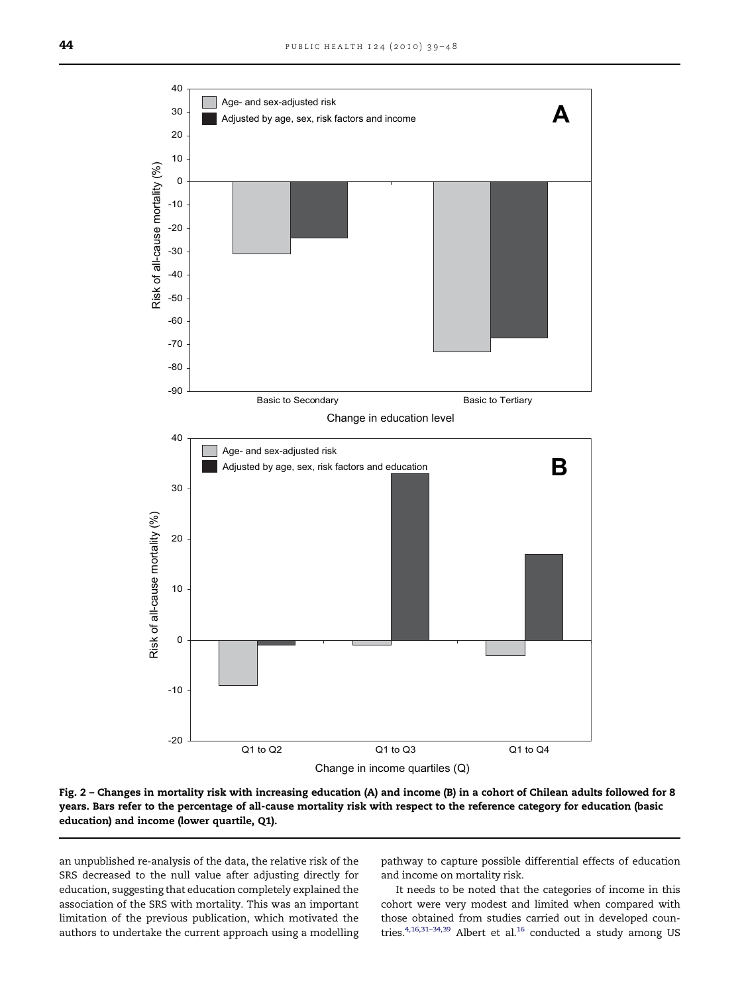<span id="page-5-0"></span>

Fig. 2 – Changes in mortality risk with increasing education (A) and income (B) in a cohort of Chilean adults followed for 8 years. Bars refer to the percentage of all-cause mortality risk with respect to the reference category for education (basic education) and income (lower quartile, Q1).

an unpublished re-analysis of the data, the relative risk of the SRS decreased to the null value after adjusting directly for education, suggesting that education completely explained the association of the SRS with mortality. This was an important limitation of the previous publication, which motivated the authors to undertake the current approach using a modelling pathway to capture possible differential effects of education and income on mortality risk.

It needs to be noted that the categories of income in this cohort were very modest and limited when compared with those obtained from studies carried out in developed coun-tries.<sup>4,[16](#page-8-0),31-34,39</sup> Albert et al.<sup>16</sup> conducted a study among US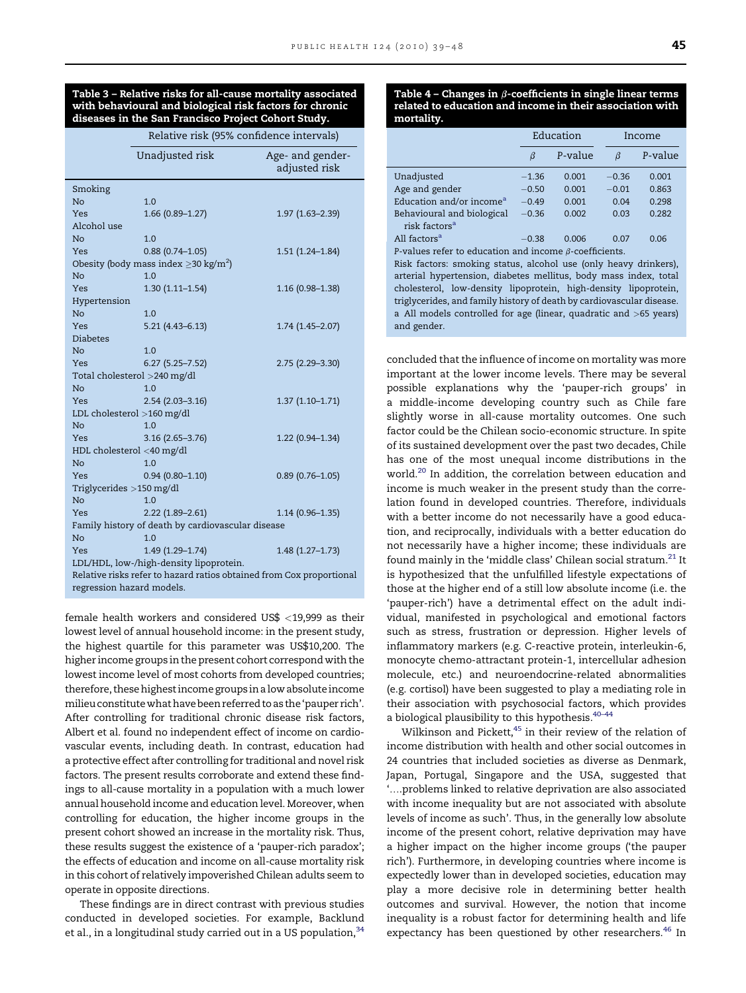<span id="page-6-0"></span>

|                                                                      | Relative risk (95% confidence intervals) |                                   |  |  |  |  |
|----------------------------------------------------------------------|------------------------------------------|-----------------------------------|--|--|--|--|
|                                                                      | Unadjusted risk                          | Age- and gender-<br>adjusted risk |  |  |  |  |
| Smoking                                                              |                                          |                                   |  |  |  |  |
| N <sub>o</sub>                                                       | 1.0                                      |                                   |  |  |  |  |
| Yes                                                                  | $1.66(0.89 - 1.27)$                      | 1.97 (1.63-2.39)                  |  |  |  |  |
| Alcohol use                                                          |                                          |                                   |  |  |  |  |
| N <sub>o</sub>                                                       | 1.0                                      |                                   |  |  |  |  |
| Yes                                                                  | $0.88(0.74 - 1.05)$                      | $1.51(1.24 - 1.84)$               |  |  |  |  |
| Obesity (body mass index $\geq$ 30 kg/m <sup>2</sup> )               |                                          |                                   |  |  |  |  |
| N <sub>o</sub>                                                       | 1.0                                      |                                   |  |  |  |  |
| Yes                                                                  | $1.30(1.11 - 1.54)$                      | $1.16(0.98 - 1.38)$               |  |  |  |  |
| Hypertension                                                         |                                          |                                   |  |  |  |  |
| N <sub>o</sub>                                                       | 1.0                                      |                                   |  |  |  |  |
| <b>Yes</b>                                                           | $5.21(4.43 - 6.13)$                      | $1.74(1.45 - 2.07)$               |  |  |  |  |
| <b>Diabetes</b>                                                      |                                          |                                   |  |  |  |  |
| No.                                                                  | 1.0                                      |                                   |  |  |  |  |
| <b>Yes</b>                                                           | $6.27(5.25 - 7.52)$                      | 2.75 (2.29-3.30)                  |  |  |  |  |
|                                                                      | Total cholesterol >240 mg/dl             |                                   |  |  |  |  |
| N <sub>o</sub>                                                       | 1.0                                      |                                   |  |  |  |  |
| <b>Yes</b>                                                           | $2.54(2.03 - 3.16)$                      | $1.37(1.10-1.71)$                 |  |  |  |  |
|                                                                      | LDL cholesterol >160 mg/dl               |                                   |  |  |  |  |
| No.                                                                  | 1.0                                      |                                   |  |  |  |  |
| <b>Yes</b>                                                           | $3.16(2.65 - 3.76)$                      | 1.22 (0.94-1.34)                  |  |  |  |  |
| HDL cholesterol <40 mg/dl                                            |                                          |                                   |  |  |  |  |
| N <sub>o</sub>                                                       | 1.0                                      |                                   |  |  |  |  |
| Yes                                                                  | $0.94(0.80 - 1.10)$                      | $0.89(0.76 - 1.05)$               |  |  |  |  |
| Triglycerides >150 mg/dl                                             |                                          |                                   |  |  |  |  |
| N <sub>o</sub>                                                       | 1.0                                      |                                   |  |  |  |  |
| Yes                                                                  | $2.22(1.89 - 2.61)$                      | $1.14(0.96 - 1.35)$               |  |  |  |  |
| Family history of death by cardiovascular disease                    |                                          |                                   |  |  |  |  |
| N <sub>o</sub>                                                       | 1.0                                      |                                   |  |  |  |  |
| <b>Yes</b>                                                           | 1.49 (1.29-1.74)                         | $1.48(1.27 - 1.73)$               |  |  |  |  |
| LDL/HDL, low-/high-density lipoprotein.                              |                                          |                                   |  |  |  |  |
| Relative risks refer to hazard ratios obtained from Cox proportional |                                          |                                   |  |  |  |  |
| regression hazard models.                                            |                                          |                                   |  |  |  |  |

female health workers and considered US\$ <19,999 as their lowest level of annual household income: in the present study, the highest quartile for this parameter was US\$10,200. The higher income groups in the present cohort correspond with the lowest income level of most cohorts from developed countries; therefore, these highest income groups in a low absolute income milieuconstitutewhat havebeenreferredtoasthe'pauper rich'. After controlling for traditional chronic disease risk factors, Albert et al. found no independent effect of income on cardiovascular events, including death. In contrast, education had a protective effect after controlling for traditional and novel risk factors. The present results corroborate and extend these findings to all-cause mortality in a population with a much lower annual household income and education level. Moreover, when controlling for education, the higher income groups in the present cohort showed an increase in the mortality risk. Thus, these results suggest the existence of a 'pauper-rich paradox'; the effects of education and income on all-cause mortality risk in this cohort of relatively impoverished Chilean adults seem to operate in opposite directions.

These findings are in direct contrast with previous studies conducted in developed societies. For example, Backlund et al., in a longitudinal study carried out in a US population,  $34$ 

Table 4 - Changes in  $\beta$ -coefficients in single linear terms related to education and income in their association with mortality.

|                                                               | Education |         |         | Income  |  |
|---------------------------------------------------------------|-----------|---------|---------|---------|--|
|                                                               | β         | P-value | ß       | P-value |  |
| Unadjusted                                                    | $-1.36$   | 0.001   | $-0.36$ | 0.001   |  |
| Age and gender                                                | $-0.50$   | 0.001   | $-0.01$ | 0.863   |  |
| Education and/or income <sup>a</sup>                          | $-0.49$   | 0.001   | 0.04    | 0.298   |  |
| Behavioural and biological                                    | $-0.36$   | 0.002   | 0.03    | 0.282   |  |
| risk factors <sup>a</sup>                                     |           |         |         |         |  |
| All factors <sup>a</sup>                                      | $-0.38$   | 0.006   | 0.07    | 0.06    |  |
| P-values refer to education and income $\beta$ -coefficients. |           |         |         |         |  |

Risk factors: smoking status, alcohol use (only heavy drinkers), arterial hypertension, diabetes mellitus, body mass index, total cholesterol, low-density lipoprotein, high-density lipoprotein, triglycerides, and family history of death by cardiovascular disease. a All models controlled for age (linear, quadratic and >65 years) and gender.

concluded that the influence of income on mortality was more important at the lower income levels. There may be several possible explanations why the 'pauper-rich groups' in a middle-income developing country such as Chile fare slightly worse in all-cause mortality outcomes. One such factor could be the Chilean socio-economic structure. In spite of its sustained development over the past two decades, Chile has one of the most unequal income distributions in the world.<sup>[20](#page-8-0)</sup> In addition, the correlation between education and income is much weaker in the present study than the correlation found in developed countries. Therefore, individuals with a better income do not necessarily have a good education, and reciprocally, individuals with a better education do not necessarily have a higher income; these individuals are found mainly in the 'middle class' Chilean social stratum.<sup>[21](#page-8-0)</sup> It is hypothesized that the unfulfilled lifestyle expectations of those at the higher end of a still low absolute income (i.e. the 'pauper-rich') have a detrimental effect on the adult individual, manifested in psychological and emotional factors such as stress, frustration or depression. Higher levels of inflammatory markers (e.g. C-reactive protein, interleukin-6, monocyte chemo-attractant protein-1, intercellular adhesion molecule, etc.) and neuroendocrine-related abnormalities (e.g. cortisol) have been suggested to play a mediating role in their association with psychosocial factors, which provides a biological plausibility to this hypothesis.<sup>40-44</sup>

Wilkinson and Pickett,<sup>45</sup> in their review of the relation of income distribution with health and other social outcomes in 24 countries that included societies as diverse as Denmark, Japan, Portugal, Singapore and the USA, suggested that '..problems linked to relative deprivation are also associated with income inequality but are not associated with absolute levels of income as such'. Thus, in the generally low absolute income of the present cohort, relative deprivation may have a higher impact on the higher income groups ('the pauper rich'). Furthermore, in developing countries where income is expectedly lower than in developed societies, education may play a more decisive role in determining better health outcomes and survival. However, the notion that income inequality is a robust factor for determining health and life expectancy has been questioned by other researchers.<sup>[46](#page-9-0)</sup> In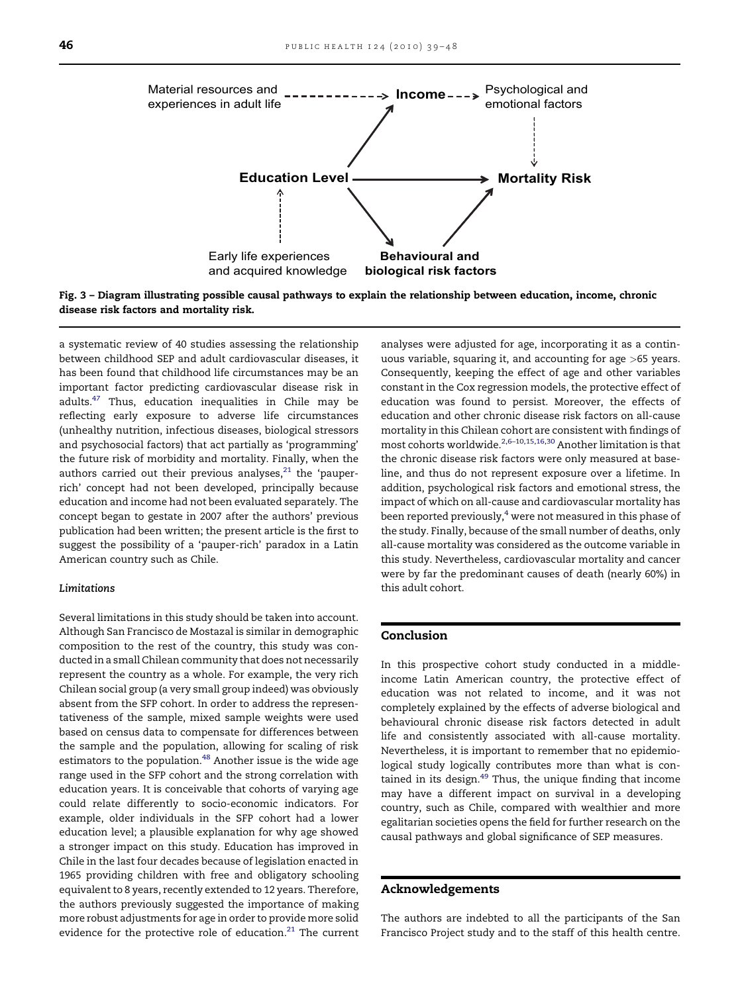<span id="page-7-0"></span>

Fig. 3 – Diagram illustrating possible causal pathways to explain the relationship between education, income, chronic disease risk factors and mortality risk.

a systematic review of 40 studies assessing the relationship between childhood SEP and adult cardiovascular diseases, it has been found that childhood life circumstances may be an important factor predicting cardiovascular disease risk in adults.[47](#page-9-0) Thus, education inequalities in Chile may be reflecting early exposure to adverse life circumstances (unhealthy nutrition, infectious diseases, biological stressors and psychosocial factors) that act partially as 'programming' the future risk of morbidity and mortality. Finally, when the authors carried out their previous analyses, $^{21}$  $^{21}$  $^{21}$  the 'pauperrich' concept had not been developed, principally because education and income had not been evaluated separately. The concept began to gestate in 2007 after the authors' previous publication had been written; the present article is the first to suggest the possibility of a 'pauper-rich' paradox in a Latin American country such as Chile.

#### Limitations

Several limitations in this study should be taken into account. Although San Francisco de Mostazal is similar in demographic composition to the rest of the country, this study was conducted in a small Chilean community that does not necessarily represent the country as a whole. For example, the very rich Chilean social group (a very small group indeed) was obviously absent from the SFP cohort. In order to address the representativeness of the sample, mixed sample weights were used based on census data to compensate for differences between the sample and the population, allowing for scaling of risk estimators to the population.<sup>[48](#page-9-0)</sup> Another issue is the wide age range used in the SFP cohort and the strong correlation with education years. It is conceivable that cohorts of varying age could relate differently to socio-economic indicators. For example, older individuals in the SFP cohort had a lower education level; a plausible explanation for why age showed a stronger impact on this study. Education has improved in Chile in the last four decades because of legislation enacted in 1965 providing children with free and obligatory schooling equivalent to 8 years, recently extended to 12 years. Therefore, the authors previously suggested the importance of making more robust adjustments for age in order to provide more solid evidence for the protective role of education.<sup>21</sup> The current analyses were adjusted for age, incorporating it as a continuous variable, squaring it, and accounting for age >65 years. Consequently, keeping the effect of age and other variables constant in the Cox regression models, the protective effect of education was found to persist. Moreover, the effects of education and other chronic disease risk factors on all-cause mortality in this Chilean cohort are consistent with findings of most cohorts worldwide.[2,6–10,15,16,30](#page-8-0) Another limitation is that the chronic disease risk factors were only measured at baseline, and thus do not represent exposure over a lifetime. In addition, psychological risk factors and emotional stress, the impact of which on all-cause and cardiovascular mortality has been reported previously,<sup>[4](#page-8-0)</sup> were not measured in this phase of the study. Finally, because of the small number of deaths, only all-cause mortality was considered as the outcome variable in this study. Nevertheless, cardiovascular mortality and cancer were by far the predominant causes of death (nearly 60%) in this adult cohort.

#### Conclusion

In this prospective cohort study conducted in a middleincome Latin American country, the protective effect of education was not related to income, and it was not completely explained by the effects of adverse biological and behavioural chronic disease risk factors detected in adult life and consistently associated with all-cause mortality. Nevertheless, it is important to remember that no epidemiological study logically contributes more than what is con-tained in its design.<sup>[49](#page-9-0)</sup> Thus, the unique finding that income may have a different impact on survival in a developing country, such as Chile, compared with wealthier and more egalitarian societies opens the field for further research on the causal pathways and global significance of SEP measures.

#### Acknowledgements

The authors are indebted to all the participants of the San Francisco Project study and to the staff of this health centre.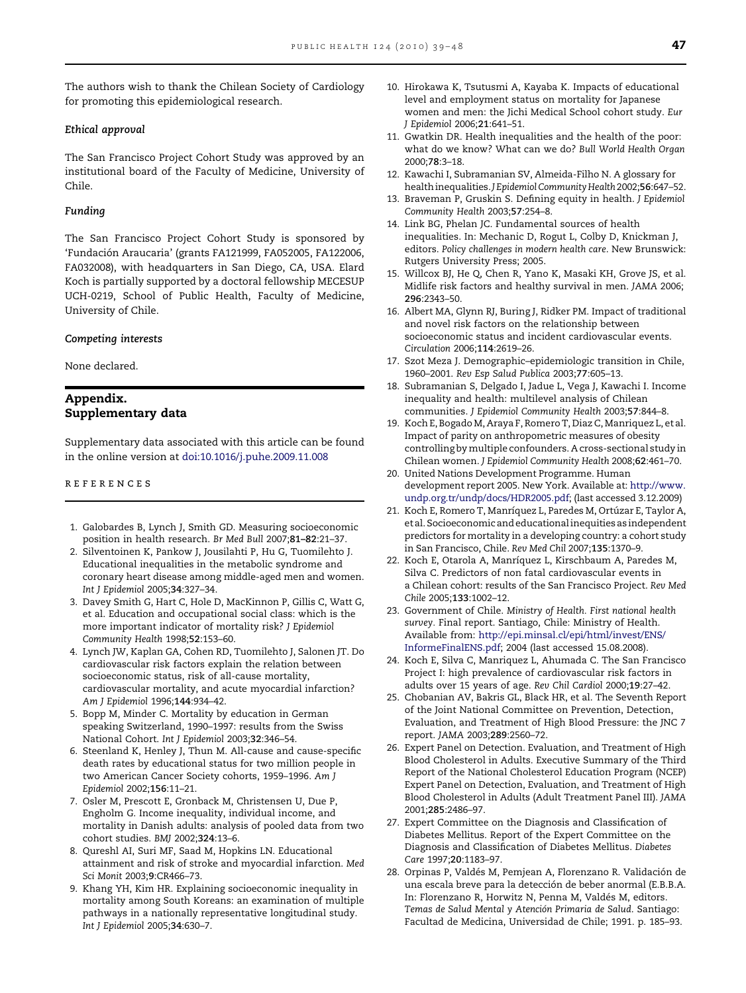<span id="page-8-0"></span>The authors wish to thank the Chilean Society of Cardiology for promoting this epidemiological research.

#### Ethical approval

The San Francisco Project Cohort Study was approved by an institutional board of the Faculty of Medicine, University of Chile.

#### Funding

The San Francisco Project Cohort Study is sponsored by 'Fundación Araucaria' (grants FA121999, FA052005, FA122006, FA032008), with headquarters in San Diego, CA, USA. Elard Koch is partially supported by a doctoral fellowship MECESUP UCH-0219, School of Public Health, Faculty of Medicine, University of Chile.

#### Competing interests

None declared.

### Appendix. Supplementary data

Supplementary data associated with this article can be found in the online version at [doi:10.1016/j.puhe.2009.11.008](http://dx.doi.org/doi:10.1016/j.puhe.2009.11.008)

#### references

- 1. Galobardes B, Lynch J, Smith GD. Measuring socioeconomic position in health research. Br Med Bull 2007;81–82:21–37.
- 2. Silventoinen K, Pankow J, Jousilahti P, Hu G, Tuomilehto J. Educational inequalities in the metabolic syndrome and coronary heart disease among middle-aged men and women. Int J Epidemiol 2005;34:327–34.
- 3. Davey Smith G, Hart C, Hole D, MacKinnon P, Gillis C, Watt G, et al. Education and occupational social class: which is the more important indicator of mortality risk? J Epidemiol Community Health 1998;52:153–60.
- 4. Lynch JW, Kaplan GA, Cohen RD, Tuomilehto J, Salonen JT. Do cardiovascular risk factors explain the relation between socioeconomic status, risk of all-cause mortality, cardiovascular mortality, and acute myocardial infarction? Am J Epidemiol 1996;144:934–42.
- 5. Bopp M, Minder C. Mortality by education in German speaking Switzerland, 1990–1997: results from the Swiss National Cohort. Int J Epidemiol 2003;32:346–54.
- 6. Steenland K, Henley J, Thun M. All-cause and cause-specific death rates by educational status for two million people in two American Cancer Society cohorts, 1959–1996. Am J Epidemiol 2002;156:11–21.
- 7. Osler M, Prescott E, Gronback M, Christensen U, Due P, Engholm G. Income inequality, individual income, and mortality in Danish adults: analysis of pooled data from two cohort studies. BMJ 2002;324:13–6.
- 8. Qureshl AI, Suri MF, Saad M, Hopkins LN. Educational attainment and risk of stroke and myocardial infarction. Med Sci Monit 2003;9:CR466–73.
- 9. Khang YH, Kim HR. Explaining socioeconomic inequality in mortality among South Koreans: an examination of multiple pathways in a nationally representative longitudinal study. Int J Epidemiol 2005;34:630–7.
- 10. Hirokawa K, Tsutusmi A, Kayaba K. Impacts of educational level and employment status on mortality for Japanese women and men: the Jichi Medical School cohort study. Eur J Epidemiol 2006;21:641–51.
- 11. Gwatkin DR. Health inequalities and the health of the poor: what do we know? What can we do? Bull World Health Organ 2000;78:3–18.
- 12. Kawachi I, Subramanian SV, Almeida-Filho N. A glossary for health inequalities. J Epidemiol Community Health 2002;56:647-52.
- 13. Braveman P, Gruskin S. Defining equity in health. J Epidemiol Community Health 2003;57:254–8.
- 14. Link BG, Phelan JC. Fundamental sources of health inequalities. In: Mechanic D, Rogut L, Colby D, Knickman J, editors. Policy challenges in modern health care. New Brunswick: Rutgers University Press; 2005.
- 15. Willcox BJ, He Q, Chen R, Yano K, Masaki KH, Grove JS, et al. Midlife risk factors and healthy survival in men. JAMA 2006; 296:2343–50.
- 16. Albert MA, Glynn RJ, Buring J, Ridker PM. Impact of traditional and novel risk factors on the relationship between socioeconomic status and incident cardiovascular events. Circulation 2006;114:2619–26.
- 17. Szot Meza J. Demographic–epidemiologic transition in Chile, 1960–2001. Rev Esp Salud Publica 2003;77:605–13.
- 18. Subramanian S, Delgado I, Jadue L, Vega J, Kawachi I. Income inequality and health: multilevel analysis of Chilean communities. J Epidemiol Community Health 2003;57:844–8.
- 19. Koch E, Bogado M, Araya F, Romero T, Diaz C, Manriquez L, et al. Impact of parity on anthropometric measures of obesity controlling by multiple confounders. A cross-sectional study in Chilean women. J Epidemiol Community Health 2008;62:461–70.
- 20. United Nations Development Programme. Human development report 2005. New York. Available at: [http://www.](http://www.undp.org.tr/undp/docs/HDR2005.pdf) [undp.org.tr/undp/docs/HDR2005.pdf;](http://www.undp.org.tr/undp/docs/HDR2005.pdf) (last accessed 3.12.2009)
- 21. Koch E, Romero T, Manríquez L, Paredes M, Ortúzar E, Taylor A, etal. Socioeconomic andeducational inequitiesas independent predictors for mortality in a developing country: a cohort study in San Francisco, Chile. Rev Med Chil 2007;135:1370–9.
- 22. Koch E, Otarola A, Manríquez L, Kirschbaum A, Paredes M, Silva C. Predictors of non fatal cardiovascular events in a Chilean cohort: results of the San Francisco Project. Rev Med Chile 2005;133:1002–12.
- 23. Government of Chile. Ministry of Health. First national health survey. Final report. Santiago, Chile: Ministry of Health. Available from: [http://epi.minsal.cl/epi/html/invest/ENS/](http://epi.minsal.cl/epi/html/invest/ENS/InformeFinalENS.pdf) [InformeFinalENS.pdf;](http://epi.minsal.cl/epi/html/invest/ENS/InformeFinalENS.pdf) 2004 (last accessed 15.08.2008).
- 24. Koch E, Silva C, Manriquez L, Ahumada C. The San Francisco Project I: high prevalence of cardiovascular risk factors in adults over 15 years of age. Rev Chil Cardiol 2000;19:27–42.
- 25. Chobanian AV, Bakris GL, Black HR, et al. The Seventh Report of the Joint National Committee on Prevention, Detection, Evaluation, and Treatment of High Blood Pressure: the JNC 7 report. JAMA 2003;289:2560–72.
- 26. Expert Panel on Detection. Evaluation, and Treatment of High Blood Cholesterol in Adults. Executive Summary of the Third Report of the National Cholesterol Education Program (NCEP) Expert Panel on Detection, Evaluation, and Treatment of High Blood Cholesterol in Adults (Adult Treatment Panel III). JAMA 2001;285:2486–97.
- 27. Expert Committee on the Diagnosis and Classification of Diabetes Mellitus. Report of the Expert Committee on the Diagnosis and Classification of Diabetes Mellitus. Diabetes Care 1997;20:1183–97.
- 28. Orpinas P, Valdés M, Pemjean A, Florenzano R. Validación de una escala breve para la detección de beber anormal (E.B.B.A. In: Florenzano R, Horwitz N, Penna M, Valdés M, editors. Temas de Salud Mental y Atención Primaria de Salud. Santiago: Facultad de Medicina, Universidad de Chile; 1991. p. 185–93.